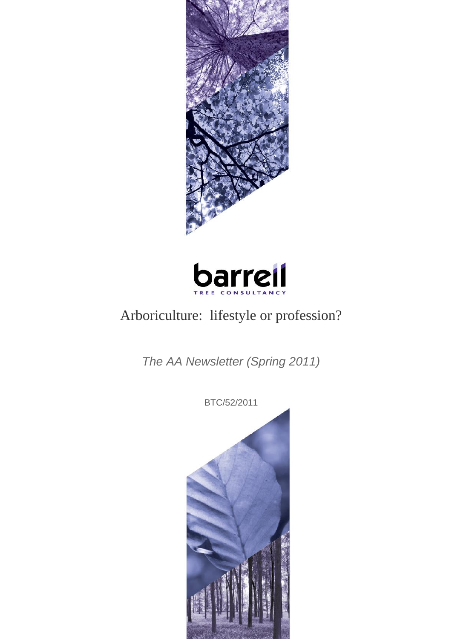



# Arboriculture: lifestyle or profession?

*The AA Newsletter (Spring 2011)*

BTC/52/2011

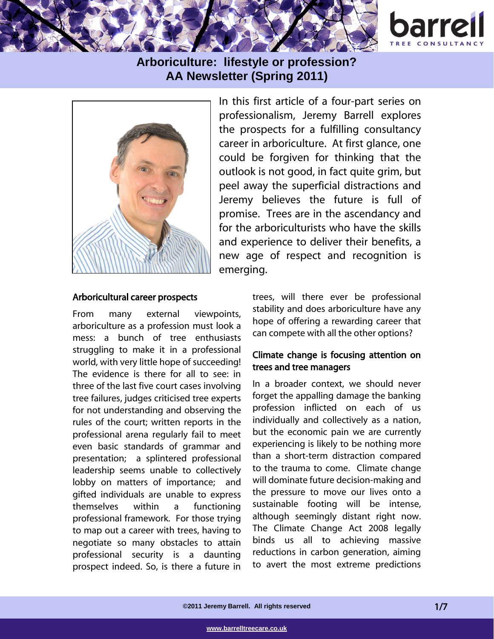



In this first article of a four-part series on professionalism, Jeremy Barrell explores the prospects for a fulfilling consultancy career in arboriculture. At first glance, one could be forgiven for thinking that the outlook is not good, in fact quite grim, but peel away the superficial distractions and Jeremy believes the future is full of promise. Trees are in the ascendancy and for the arboriculturists who have the skills and experience to deliver their benefits, a new age of respect and recognition is emerging.

#### Arboricultural career prospects

From many external viewpoints, arboriculture as a profession must look a mess: a bunch of tree enthusiasts struggling to make it in a professional world, with very little hope of succeeding! The evidence is there for all to see: in three of the last five court cases involving tree failures, judges criticised tree experts for not understanding and observing the rules of the court; written reports in the professional arena regularly fail to meet even basic standards of grammar and presentation; a splintered professional leadership seems unable to collectively lobby on matters of importance; and gifted individuals are unable to express themselves within a functioning professional framework. For those trying to map out a career with trees, having to negotiate so many obstacles to attain professional security is a daunting prospect indeed. So, is there a future in

trees, will there ever be professional stability and does arboriculture have any hope of offering a rewarding career that can compete with all the other options?

### Climate change is focusing attention on trees and tree managers

In a broader context, we should never forget the appalling damage the banking profession inflicted on each of us individually and collectively as a nation, but the economic pain we are currently experiencing is likely to be nothing more than a short-term distraction compared to the trauma to come. Climate change will dominate future decision-making and the pressure to move our lives onto a sustainable footing will be intense, although seemingly distant right now. The Climate Change Act 2008 legally binds us all to achieving massive reductions in carbon generation, aiming to avert the most extreme predictions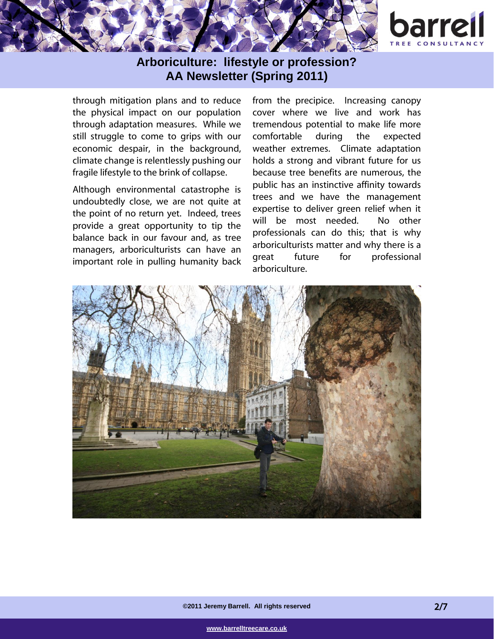

through mitigation plans and to reduce the physical impact on our population through adaptation measures. While we still struggle to come to grips with our economic despair, in the background, climate change is relentlessly pushing our fragile lifestyle to the brink of collapse.

Although environmental catastrophe is undoubtedly close, we are not quite at the point of no return yet. Indeed, trees provide a great opportunity to tip the balance back in our favour and, as tree managers, arboriculturists can have an important role in pulling humanity back from the precipice. Increasing canopy cover where we live and work has tremendous potential to make life more comfortable during the expected weather extremes. Climate adaptation holds a strong and vibrant future for us because tree benefits are numerous, the public has an instinctive affinity towards trees and we have the management expertise to deliver green relief when it will be most needed. No other professionals can do this; that is why arboriculturists matter and why there is a great future for professional arboriculture.

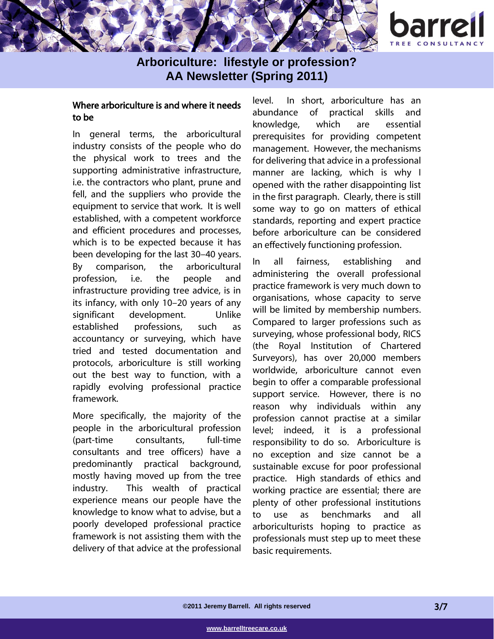

### Where arboriculture is and where it needs to be

In general terms, the arboricultural industry consists of the people who do the physical work to trees and the supporting administrative infrastructure, i.e. the contractors who plant, prune and fell, and the suppliers who provide the equipment to service that work. It is well established, with a competent workforce and efficient procedures and processes, which is to be expected because it has been developing for the last 30–40 years. By comparison, the arboricultural profession, i.e. the people and infrastructure providing tree advice, is in its infancy, with only 10–20 years of any significant development. Unlike established professions, such as accountancy or surveying, which have tried and tested documentation and protocols, arboriculture is still working out the best way to function, with a rapidly evolving professional practice framework.

More specifically, the majority of the people in the arboricultural profession (part-time consultants, full-time consultants and tree officers) have a predominantly practical background, mostly having moved up from the tree industry. This wealth of practical experience means our people have the knowledge to know what to advise, but a poorly developed professional practice framework is not assisting them with the delivery of that advice at the professional level. In short, arboriculture has an abundance of practical skills and knowledge, which are essential prerequisites for providing competent management. However, the mechanisms for delivering that advice in a professional manner are lacking, which is why I opened with the rather disappointing list in the first paragraph. Clearly, there is still some way to go on matters of ethical standards, reporting and expert practice before arboriculture can be considered an effectively functioning profession.

In all fairness, establishing and administering the overall professional practice framework is very much down to organisations, whose capacity to serve will be limited by membership numbers. Compared to larger professions such as surveying, whose professional body, RICS (the Royal Institution of Chartered Surveyors), has over 20,000 members worldwide, arboriculture cannot even begin to offer a comparable professional support service. However, there is no reason why individuals within any profession cannot practise at a similar level; indeed, it is a professional responsibility to do so. Arboriculture is no exception and size cannot be a sustainable excuse for poor professional practice. High standards of ethics and working practice are essential; there are plenty of other professional institutions to use as benchmarks and all arboriculturists hoping to practice as professionals must step up to meet these basic requirements.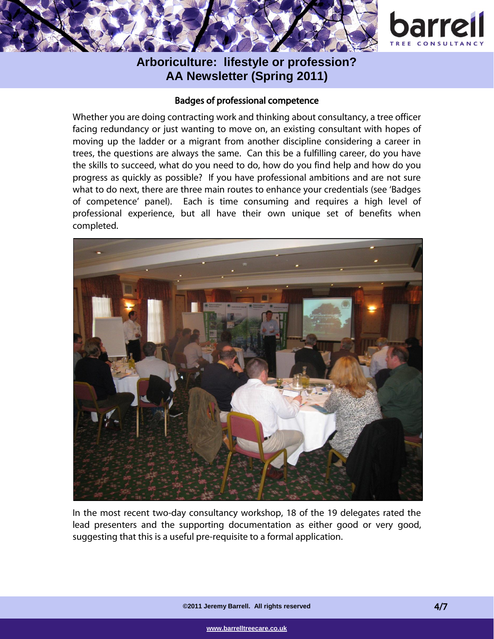

### Badges of professional competence

Whether you are doing contracting work and thinking about consultancy, a tree officer facing redundancy or just wanting to move on, an existing consultant with hopes of moving up the ladder or a migrant from another discipline considering a career in trees, the questions are always the same. Can this be a fulfilling career, do you have the skills to succeed, what do you need to do, how do you find help and how do you progress as quickly as possible? If you have professional ambitions and are not sure what to do next, there are three main routes to enhance your credentials (see 'Badges of competence' panel). Each is time consuming and requires a high level of professional experience, but all have their own unique set of benefits when completed.



In the most recent two-day consultancy workshop, 18 of the 19 delegates rated the lead presenters and the supporting documentation as either good or very good, suggesting that this is a useful pre-requisite to a formal application.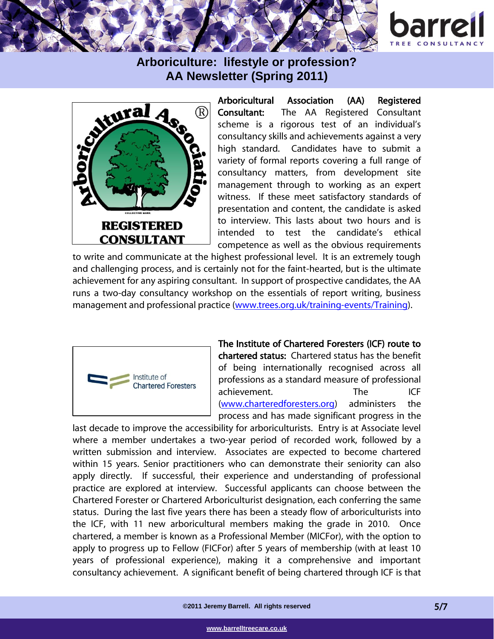





Arboricultural Association (AA) Registered Consultant: The AA Registered Consultant scheme is a rigorous test of an individual's consultancy skills and achievements against a very high standard. Candidates have to submit a variety of formal reports covering a full range of consultancy matters, from development site management through to working as an expert witness. If these meet satisfactory standards of presentation and content, the candidate is asked to interview. This lasts about two hours and is intended to test the candidate's ethical competence as well as the obvious requirements

to write and communicate at the highest professional level. It is an extremely tough and challenging process, and is certainly not for the faint-hearted, but is the ultimate achievement for any aspiring consultant. In support of prospective candidates, the AA runs a two-day consultancy workshop on the essentials of report writing, business management and professional practice [\(www.trees.org.uk/training-events/Training\)](http://www.trees.org.uk/training-events/Training).



The Institute of Chartered Foresters (ICF) route to chartered status: Chartered status has the benefit of being internationally recognised across all professions as a standard measure of professional achievement. The ICF [\(www.charteredforesters.org\)](http://www.charteredforesters.org/) administers the process and has made significant progress in the

last decade to improve the accessibility for arboriculturists. Entry is at Associate level where a member undertakes a two-year period of recorded work, followed by a written submission and interview. Associates are expected to become chartered within 15 years. Senior practitioners who can demonstrate their seniority can also apply directly. If successful, their experience and understanding of professional practice are explored at interview. Successful applicants can choose between the Chartered Forester or Chartered Arboriculturist designation, each conferring the same status. During the last five years there has been a steady flow of arboriculturists into the ICF, with 11 new arboricultural members making the grade in 2010. Once chartered, a member is known as a Professional Member (MICFor), with the option to apply to progress up to Fellow (FICFor) after 5 years of membership (with at least 10 years of professional experience), making it a comprehensive and important consultancy achievement. A significant benefit of being chartered through ICF is that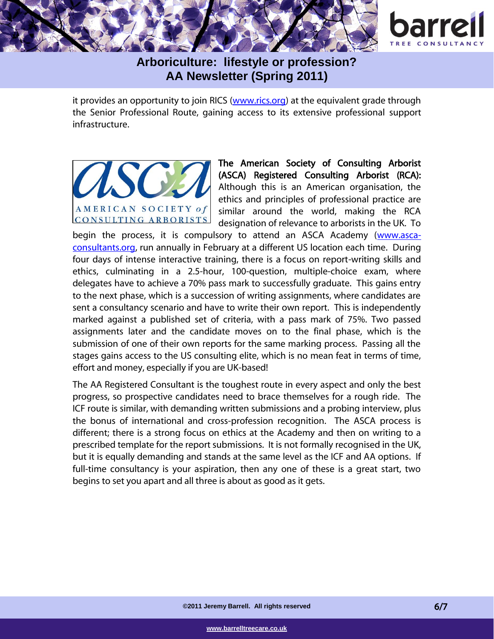

it provides an opportunity to join RICS [\(www.rics.org\)](http://www.rics.org/) at the equivalent grade through the Senior Professional Route, gaining access to its extensive professional support infrastructure.



The American Society of Consulting Arborist (ASCA) Registered Consulting Arborist (RCA): Although this is an American organisation, the ethics and principles of professional practice are similar around the world, making the RCA designation of relevance to arborists in the UK. To

begin the process, it is compulsory to attend an ASCA Academy [\(www.asca](http://www.asca-consultants.org/)[consultants.org,](http://www.asca-consultants.org/) run annually in February at a different US location each time. During four days of intense interactive training, there is a focus on report-writing skills and ethics, culminating in a 2.5-hour, 100-question, multiple-choice exam, where delegates have to achieve a 70% pass mark to successfully graduate. This gains entry to the next phase, which is a succession of writing assignments, where candidates are sent a consultancy scenario and have to write their own report. This is independently marked against a published set of criteria, with a pass mark of 75%. Two passed assignments later and the candidate moves on to the final phase, which is the submission of one of their own reports for the same marking process. Passing all the stages gains access to the US consulting elite, which is no mean feat in terms of time, effort and money, especially if you are UK-based!

The AA Registered Consultant is the toughest route in every aspect and only the best progress, so prospective candidates need to brace themselves for a rough ride. The ICF route is similar, with demanding written submissions and a probing interview, plus the bonus of international and cross-profession recognition. The ASCA process is different; there is a strong focus on ethics at the Academy and then on writing to a prescribed template for the report submissions. It is not formally recognised in the UK, but it is equally demanding and stands at the same level as the ICF and AA options. If full-time consultancy is your aspiration, then any one of these is a great start, two begins to set you apart and all three is about as good as it gets.